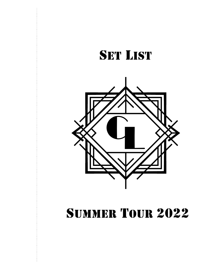



# Summer Tour 2022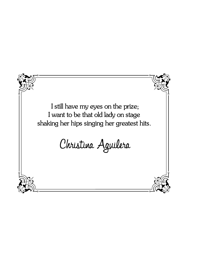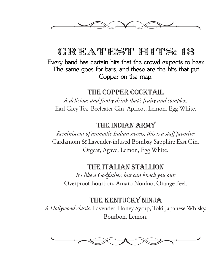

## GREATEST HITS: 13

**Every band has certain hits that the crowd expects to hear. The same goes for bars, and these are the hits that put Copper on the map.**

### THE COPPER COCKTAIL

*A delicious and frothy drink that's fruity and complex:* Earl Grey Tea, Beefeater Gin, Apricot, Lemon, Egg White.

### THE INDIAN ARMY

*Reminiscent of aromatic Indian sweets, this is a staff favorite:* Cardamom & Lavender-infused Bombay Sapphire East Gin, Orgeat, Agave, Lemon, Egg White.

### THE ITALIAN STALLION

*It's like a Godfather, but can knock you out:* Overproof Bourbon, Amaro Nonino, Orange Peel.

### THE KENTUCKY NINJA

*A Hollywood classic:* Lavender-Honey Syrup, Toki Japanese Whisky, Bourbon, Lemon.

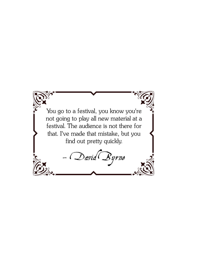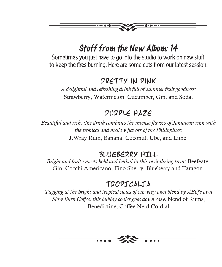## *Stuff from the New Album: 14*

Sometimes you just have to go into the studio to work on new stuff to keep the fires burning. Here are some cuts from our latest session.

### pretty in pink

*A delightful and refreshing drink full of summer fruit goodness:* Strawberry, Watermelon, Cucumber, Gin, and Soda.

## purple haze

*Beautiful and rich, this drink combines the intense flavors of Jamaican rum with the tropical and mellow flavors of the Philippines:* J.Wray Rum, Banana, Coconut, Ube, and Lime.

### bLUEBERRY HILL

*Bright and fruity meets bold and herbal in this revitalizing treat*: Beefeater Gin, Cocchi Americano, Fino Sherry, Blueberry and Taragon.

### TROPICALIA

*Tugging at the bright and tropical notes of our very own blend by ABQ's own Slow Burn Coffee, this bubbly cooler goes down easy:* blend of Rums, Benedictine, Coffee Nerd Cordial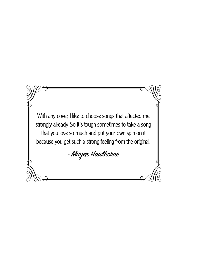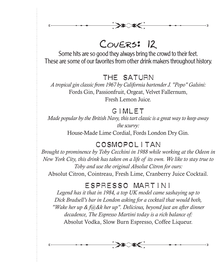$H<\infty$ 

Some hits are so good they always bring the crowd to their feet. These are some of our favorites from other drink makers throughout history.

### THE SATURN

*A tropical gin classic from 1967 by California bartender J. "Popo" Galsini:* Fords Gin, Passionfruit, Orgeat, Velvet Fallernum, Fresh Lemon Juice.

## gIMLET

*Made popular by the British Navy, this tart classic is a great way to keep away the scurvy:* House-Made Lime Cordial, Fords London Dry Gin.

## Cosmopolitan

*Brought to prominence by Toby Cecchini in 1988 while working at the Odeon in New York City, this drink has taken on a life of its own. We like to stay true to Toby and use the original Absolut Citron for ours:* Absolut Citron, Cointreau, Fresh Lime, Cranberry Juice Cocktail.

## Espresso Martini

*Legend has it that in 1984, a top UK model came sashaying up to Dick Bradsell's bar in London asking for a cocktail that would both, "Wake her up & f@&k her up". Delicious, beyond just an after dinner decadence, The Espresso Martini today is a rich balance of:* Absolut Vodka, Slow Burn Espresso, Coffee Liqueur.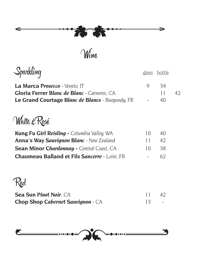

Wine

 $\lambda$ 

| iparkling                                               | glass | bottle |    |
|---------------------------------------------------------|-------|--------|----|
| La Marca Prosecco - Veneto, IT                          | 9     | 34     |    |
| <b>Gloria Ferrer Blanc de Blanc</b> - Carneros. CA      |       | 11     | 42 |
| <b>Le Grand Courtage Blanc de Blancs</b> - Burgundy, FR |       | 40     |    |
| White & Rosé                                            |       |        |    |
| <b>Kung Fu Girl Reisling -</b> Columbia Valley, WA      | 10    | 40     |    |
| <b>Anna's Way Sauvignon Blanc</b> - New Zealand         | 11    | 42     |    |
| <b>Sean Minor Chardonnay - Central Coast, CA</b>        | 10    | 38     |    |
| <b>Chaumeau Balland et Fils Sancerre - Loire, FR</b>    |       | 62     |    |
|                                                         |       |        |    |
| <b>Sea Sun Pinot Noir, CA</b>                           | 11    | 42     |    |
| <b>Chop Shop Cabernet Sauvignon</b> - CA                | 13    |        |    |

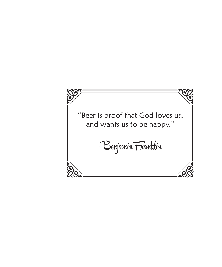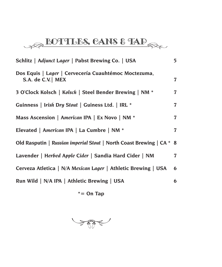# BOTTLES, CANS & TAP

| Schlitz   Adjunct Lager   Pabst Brewing Co.   USA                          | 5 <sup>1</sup> |
|----------------------------------------------------------------------------|----------------|
| Dos Equis   Lager   Cervecería Cuauhtémoc Moctezuma,<br>S.A. de C.V.   MEX | $\overline{7}$ |
| 3 O'Clock Kolsch   Kolsch   Steel Bender Brewing   NM *                    | $\overline{7}$ |
| Guinness   Irish Dry Stout   Guiness Ltd.   IRL *                          | $\overline{7}$ |
| Mass Ascension   American IPA   Ex Novo   NM *                             | $\overline{7}$ |
| Elevated   American IPA   La Cumbre   NM *                                 | 7              |
| Old Rasputin   Russian imperial Stout   North Coast Brewing   CA *         | 8              |
| Lavender   Herbed Apple Cider   Sandia Hard Cider   NM                     | $\overline{7}$ |
| Cerveza Atletica   N/A Mexican Lager   Athletic Brewing   USA              | 6              |
| Run Wild   N/A IPA   Athletic Brewing   USA                                | 6              |
|                                                                            |                |

**\*= On Tap**

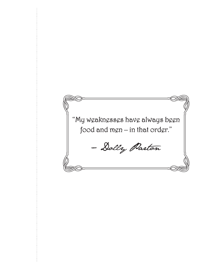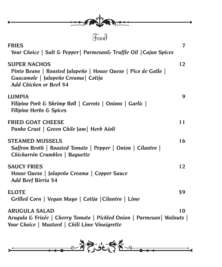| $\frac{1}{\sqrt{2}}\int_{0}^{\infty}\left( \int_{0}^{\infty}\left( \int_{0}^{\infty}\right) \frac{dx}{\sqrt{1-x^{2}}}dx\right) dx$ |  |
|------------------------------------------------------------------------------------------------------------------------------------|--|
|                                                                                                                                    |  |

```
Food
```

| <b>FRIES</b><br>Your Choice   Salt & Pepper   Parmesan& Truffle Oil   Cajun Spices                                                                       | $\overline{7}$ |
|----------------------------------------------------------------------------------------------------------------------------------------------------------|----------------|
| <b>SUPER NACHOS</b><br>Pinto Beans   Roasted Jalapeño   House Queso   Pico de Gallo  <br>Guacamole   Jalapeño Creama   Cotija<br>Add Chicken or Beef \$4 | 12             |
| <b>LUMPIA</b><br>Filipino Pork & Shrimp Roll   Carrots   Onions   Garlic  <br><b>Filipino Herbs &amp; Spices</b>                                         | 9              |
| <b>FRIED GOAT CHEESE</b><br>Panko Crust   Green Chile Jam   Herb Aioli                                                                                   | 11             |
| <b>STEAMED MUSSELS</b><br>Saffron Broth   Roasted Tomato   Pepper   Onion   Cilantro  <br>Chicharrón Crumbles   Baguette                                 | 16             |
| <b>SAUCY FRIES</b><br>House Queso   Jalapeño Creama   Copper Sauce<br>Add Beef Birria \$4                                                                | 12             |
| <b>ELOTE</b><br>Grilled Corn   Vegan Mayo   Cotija   Cilantro   Lime                                                                                     | \$9            |
| <b>ARUGULA SALAD</b>                                                                                                                                     | 10             |
| Arugula & Frisée   Cherry Tomato   Pickled Onion   Parmesan   Walnuts  <br>Your Choice   Mustard   Chili Lime Vinaigrette                                |                |

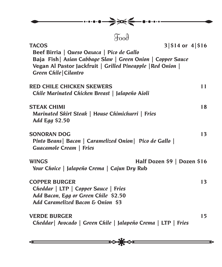| →<br>$\bullet\bullet\bullet\bullet\bullet\bullet\bullet\bullet$                                                                                                                                                                                                          |    |
|--------------------------------------------------------------------------------------------------------------------------------------------------------------------------------------------------------------------------------------------------------------------------|----|
| $\mathfrak{F}^{\text{loop}}$<br>$3 $14$ or $4 $16$<br><b>TACOS</b><br>Beef Birria   Queso Oaxaca   Pico de Gallo<br>Baja Fish   Asian Cabbage Slaw   Green Onion   Copper Sauce<br>Vegan Al Pastor Jackfruit   Grilled Pineapple   Red Onion  <br>Green Chile   Cilantro |    |
| <b>RED CHILE CHICKEN SKEWERS</b><br>Chile Marinated Chicken Breast   Jalapeño Aioli                                                                                                                                                                                      | 11 |
| <b>STEAK CHIMI</b><br>Marinated Skirt Steak   House Chimichurri   Fries<br>Add Egg \$2.50                                                                                                                                                                                | 18 |
| <b>SONORAN DOG</b><br>Pinto Beans   Bacon   Caramelized Onion   Pico de Gallo  <br>Guacamole Cream   Fries                                                                                                                                                               | 13 |
| Half Dozen \$9   Dozen \$16<br><b>WINGS</b><br>Your Choice   Jalapeño Crema   Cajun Dry Rub                                                                                                                                                                              |    |
| <b>COPPER BURGER</b><br>Cheddar   LTP   Copper Sauce   Fries<br>Add Bacon, Egg or Green Chile \$2.50<br>Add Caramelized Bacon & Onion \$3                                                                                                                                | 13 |
| <b>VERDE BURGER</b><br>Cheddar   Avocado   Green Chile   Jalapeño Crema   LTP   Fries                                                                                                                                                                                    | 15 |
|                                                                                                                                                                                                                                                                          |    |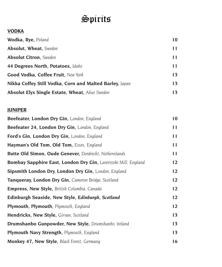#### **VODKA**

| Wodka, Rye, Poland                                      | 10 |
|---------------------------------------------------------|----|
| <b>Absolut, Wheat, Sweden</b>                           | 11 |
| <b>Absolut Citron</b> , Sweden                          | 11 |
| 44 Degrees North, Potatoes, Idaho                       | 11 |
| Good Vodka, Coffee Fruit, New York                      | 13 |
| Nikka Coffey Still Vodka, Corn and Malted Barley, Japan | 13 |
| <b>Absolut Elyx Single Estate, Wheat, Ahus Sweden</b>   | 13 |

#### **JUNIPER**

| Beefeater, London Dry Gin, London, England                     | 10 |
|----------------------------------------------------------------|----|
| Beefeater 24, London Dry Gin, London, England                  | 11 |
| Ford's Gin, London Dry Gin, London, England                    | 11 |
| Hayman's Old Tom, Old Tom, Essex, England                      | 11 |
| Rutte Old Simon, Oude Genever, Dordrecht, Nethernlands         | 11 |
| Bombay Sapphire East, London Dry Gin, Laverstoke Mill, England | 12 |
| Sipsmith London Dry, London Dry Gin, London, England           | 12 |
| Tanqueray, London Dry Gin, Cameron Bridge, Scotland            | 12 |
| <b>Empress, New Style, British Columbia, Canada</b>            | 12 |
| Edinburgh Seaside, New Style, Edinburgh, Scotland              | 12 |
| <b>Plymouth, Plymouth, Plymouth, England</b>                   | 12 |
| Hendricks, New Style, Girvan, Scotland                         | 13 |
| <b>Drumshanbo Gunpowder, New Style, Drumshanbo, Ireland</b>    | 13 |
| Plymouth Navy Strength, Plymouth, England                      | 13 |
| <b>Monkey 47, New Style, Black Forest, Germany</b>             | 16 |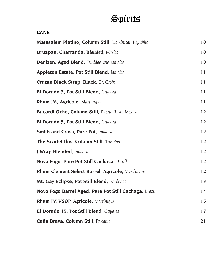## **CANE**

| Matusalem Platino, Column Still, Dominican Republic   | 10 |
|-------------------------------------------------------|----|
| Uruapan, Charranda, Blended, Mexico                   | 10 |
| Denizen, Aged Blend, Trinidad and Jamaica             | 10 |
| <b>Appleton Estate, Pot Still Blend, Jamaica</b>      | 11 |
| Cruzan Black Strap, Black, St. Croix                  | 11 |
| El Dorado 3, Pot Still Blend, Guyana                  | 11 |
| Rhum JM, Agricole, Martinique                         | 11 |
| Bacardi Ocho, Column Still, Puerto Rico I Mexico      | 12 |
| El Dorado 5, Pot Still Blend, Guyana                  | 12 |
| <b>Smith and Cross, Pure Pot, Jamaica</b>             | 12 |
| The Scarlet Ibis, Column Still, Trinidad              | 12 |
| J. Wray, Blended, Jamaica                             | 12 |
| Novo Fogo, Pure Pot Still Cachaça, Brazil             | 12 |
| Rhum Clement Select Barrel, Agricole, Martinique      | 12 |
| Mt. Gay Eclipse, Pot Still Blend, Barbados            | 13 |
| Novo Fogo Barrel Aged, Pure Pot Still Cachaça, Brazil | 14 |
| <b>Rhum JM VSOP, Agricole, Martinique</b>             | 15 |
| El Dorado 15, Pot Still Blend, Guyana                 | 17 |
| Caña Brava, Column Still, Panama                      | 21 |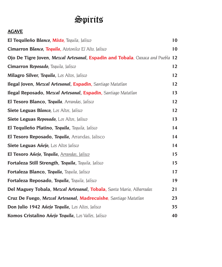#### **AGAVE**

| El Tequileño Blanco, Mixto, Tequila, Jalisco                                   | 10 |
|--------------------------------------------------------------------------------|----|
| Cimarron Blanco, Tequila, Atotonilco El Alto, Jalisco                          | 10 |
| Ojo De Tigre Joven, Mezcal Artesanal, Espadin and Tobala, Oaxaca and Puebla 12 |    |
| <b>Cimarron Reposado</b> , Tequila, Jalisco                                    | 12 |
| Milagro Silver, Tequila, Los Altos, Jalisco                                    | 12 |
| Ilegal Joven, Mezcal Artesanal, Espadin, Santiago Matatlan                     | 12 |
| Ilegal Reposado, Mezcal Artesanal, Espadin, Santiago Matatlan                  | 13 |
| El Tesoro Blanco, Tequila, Arrandas, Jalisco                                   | 12 |
| Siete Leguas Blanco, Los Altos, Jalisco                                        | 12 |
| Siete Leguas Reposado, Los Altos, Jalisco                                      | 13 |
| El Tequileño Platino, Tequila, Tequila, Jalisco                                | 14 |
| El Tesoro Reposado, Tequila, Arrandas, Jalisco                                 | 14 |
| Siete Leguas Añejo, Los Altos Jalisco                                          | 14 |
| El Tesoro Añejo, Tequila, Arrandas, Jalisco                                    | 15 |
| Fortaleza Still Strength, Tequila, Tequila, Jalisco                            | 15 |
| Fortaleza Blanco, Tequila, Tequila, Jalisco                                    | 17 |
| Fortaleza Reposado, Tequila, Tequila, Jalisco                                  | 19 |
| Del Maguey Tobala, Mezcal Artesanal, Tobala, Santa Maria, Albarradas           | 21 |
| Cruz De Fuego, Mezcal Artesanal, Madrecuishe, Santiago Matatlan                | 23 |
| <b>Don Julio 1942 Añejo Tequila, Los Altos, Jalisco</b>                        | 35 |
| Komos Cristalino Añejo Tequila, Los Valles, Jalisco                            | 40 |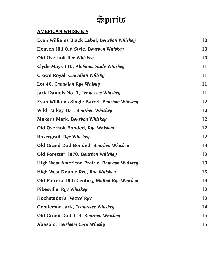#### **AMERICAN WHISK(E)Y**

| Evan Williams Black Label, Bourbon Whiskey   | 10 |
|----------------------------------------------|----|
| Heaven Hill Old Style, Bourbon Whiskey       | 10 |
| Old Overholt Rye Whiskey                     | 10 |
| Clyde Mays 110, Alabama Style Whiskey        | 11 |
| Crown Royal, Canadian Whisky                 | 11 |
| Lot 40, Canadian Rye Whisky                  | 11 |
| Jack Daniels No. 7, Tennessee Whiskey        | 11 |
| Evan Williams Single Barrel, Bourbon Whiskey | 12 |
| Wild Turkey 101, Bourbon Whiskey             | 12 |
| <b>Maker's Mark, Bourbon Whiskey</b>         | 12 |
| Old Overholt Bonded, Rye Whiskey             | 12 |
| Boxergrail, Rye Whiskey                      | 12 |
| Old Grand Dad Bonded, Bourbon Whiskey        | 13 |
| Old Forester 1870, Bourbon Whiskey           | 13 |
| High West American Prairie, Bourbon Whiskey  | 13 |
| High West Double Rye, Rye Whiskey            | 13 |
| Old Potrero 18th Century, Malted Rye Whiskey | 13 |
| Pikesville, Rye Whiskey                      | 13 |
| Hochstader's, Vatted Rye                     | 13 |
| Gentleman Jack, Tennessee Whiskey            | 14 |
| Old Grand Dad 114, Bourbon Whiskey           | 15 |
| Abasolo, Heirloom Corn Whisky                | 15 |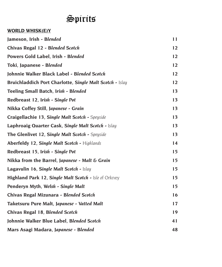#### **WORLD WHISK(E)Y**

| Jameson, Irish - Blended                                 | 11 |
|----------------------------------------------------------|----|
| Chivas Regal 12 - Blended Scotch                         | 12 |
| Powers Gold Label, Irish - Blended                       | 12 |
| Toki, Japanese - Blended                                 | 12 |
| Johnnie Walker Black Label - Blended Scotch              | 12 |
| Bruichladdich Port Charlotte, Single Malt Scotch - Islay | 12 |
| Teeling Small Batch, Irish - Blended                     | 13 |
| Redbreast 12, Irish - Single Pot                         | 13 |
| Nikka Coffey Still, Japanese - Grain                     | 13 |
| Craigellachie 13, Single Malt Scotch - Speyside          | 13 |
| Laphroaig Quarter Cask, Single Malt Scotch - Islay       | 13 |
| The Glenlivet 12, Single Malt Scotch - Speyside          | 13 |
| Aberfeldy 12, Single Malt Scotch - Highlands             | 14 |
| Redbreast 15, Irish - Single Pot                         | 15 |
| Nikka from the Barrel, Japanese - Malt & Grain           | 15 |
| Lagavulin 16, Single Malt Scotch - Islay                 | 15 |
| Highland Park 12, Single Malt Scotch - Isle of Orkney    | 15 |
| Penderyn Myth, Welsh - Single Malt                       | 15 |
| Chivas Regal Mizunara - Blended Scotch                   | 16 |
| Taketsuru Pure Malt, Japanese - Vatted Malt              | 17 |
| Chivas Regal 18, Blended Scotch                          | 19 |
| Johnnie Walker Blue Label, Blended Scotch                | 41 |
| Mars Asagi Madara, Japanese - Blended                    | 48 |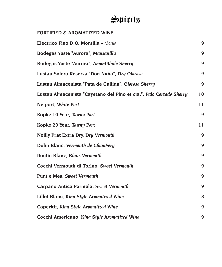#### **FORTIFIED & AROMATIZED WINE**

| Electrico Fino D.O. Montilla - Morila                               | 9  |
|---------------------------------------------------------------------|----|
| Bodegas Yuste "Aurora", Manzanilla                                  | 9  |
| Bodegas Yuste "Aurora", Amontillado Sherry                          | 9  |
| Lustau Solera Reserva "Don Nuño", Dry Oloroso                       | 9  |
| Lustau Almacenista "Pata de Gallina", Oloroso Sherry                | 9  |
| Lustau Almacenista "Cayetano del Pino et cia.", Palo Cortado Sherry | 10 |
| Neiport, White Port                                                 | 11 |
| Kopke 10 Year, Tawny Port                                           | 9  |
| Kopke 20 Year, Tawny Port                                           | 11 |
| Noilly Prat Extra Dry, Dry Vermouth                                 | 9  |
| Dolin Blanc, Vermouth de Chambery                                   | 9  |
| Routin Blanc, Blanc Vermouth                                        | 9  |
| Cocchi Vermouth di Torino, Sweet Vermouth                           | 9  |
| <b>Punt e Mes, Sweet Vermouth</b>                                   | 9  |
| Carpano Antica Formula, Sweet Vermouth                              | 9  |
| Lillet Blanc, Kina Style Aromatized Wine                            | 8  |
| Caperitif, Kina Style Aromatized Wine                               | 9  |
| Cocchi Americano, Kina Style Aromatized Wine                        | 9  |